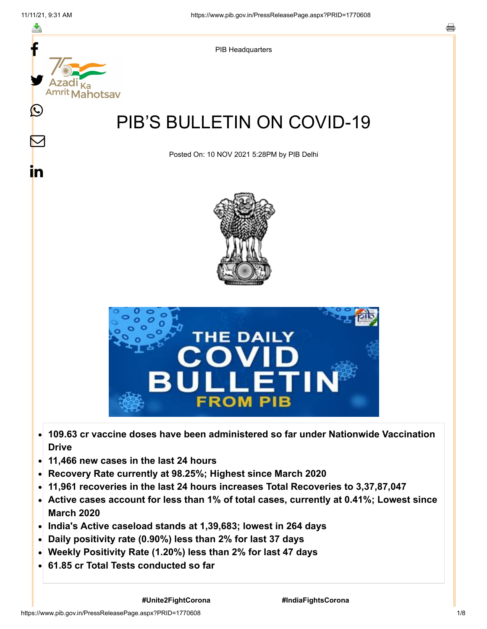

- **109.63 cr vaccine doses have been administered so far under Nationwide Vaccination**  $\bullet$ **Drive**
- **11,466 new cases in the last 24 hours**  $\bullet$
- **Recovery Rate currently at 98.25%; Highest since March 2020**
- **11,961 recoveries in the last 24 hours increases Total Recoveries to 3,37,87,047**
- **Active cases account for less than 1% of total cases, currently at 0.41%; Lowest since March 2020**
- **India's Active caseload stands at 1,39,683; lowest in 264 days**
- **Daily positivity rate (0.90%) less than 2% for last 37 days**
- **Weekly Positivity Rate (1.20%) less than 2% for last 47 days**
- **61.85 cr Total Tests conducted so far**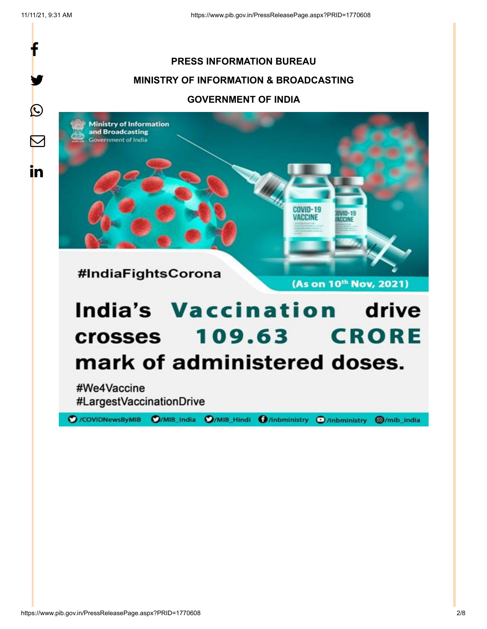f

y.

 $\bigcirc$ 

 $\boldsymbol{\nabla}$ 

in

## **PRESS INFORMATION BUREAU MINISTRY OF INFORMATION & BROADCASTING GOVERNMENT OF INDIA**

**Ministry of Information** and Broadcasting **Sovernment of India** 



(As on 10th Nov, 2021)

**AVID-19 ACCINE** 

# **India's Vaccination drive 109.63 CRORE crosses** mark of administered doses.

#We4Vaccine #LargestVaccinationDrive

O/COVIDNewsByMIB O/MIB\_India O/MIB\_Hindi O/inbministry O/inbministry **@/mib\_india**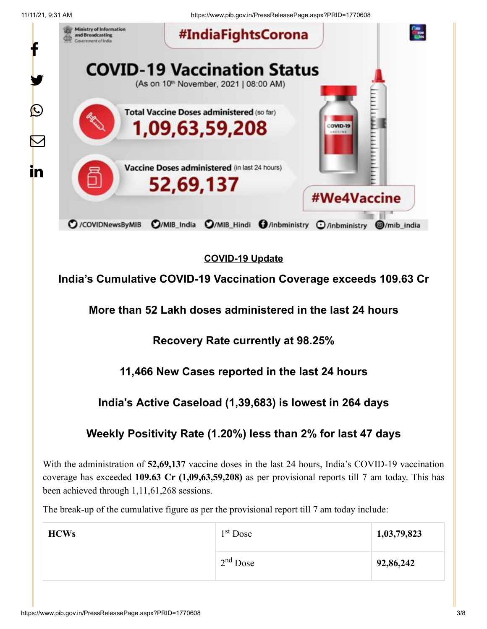11/11/21, 9:31 AM https://www.pib.gov.in/PressReleasePage.aspx?PRID=1770608



## **COVID-19 Update**

**India's Cumulative COVID-19 Vaccination Coverage exceeds 109.63 Cr**

**More than 52 Lakh doses administered in the last 24 hours**

**Recovery Rate currently at 98.25%**

## **11,466 New Cases reported in the last 24 hours**

## **India's Active Caseload (1,39,683) is lowest in 264 days**

## **Weekly Positivity Rate (1.20%) less than 2% for last 47 days**

With the administration of **52,69,137** vaccine doses in the last 24 hours, India's COVID-19 vaccination coverage has exceeded **109.63 Cr (1,09,63,59,208)** as per provisional reports till 7 am today. This has been achieved through 1,11,61,268 sessions.

The break-up of the cumulative figure as per the provisional report till 7 am today include:

| <b>HCWs</b> | $1st$ Dose | 1,03,79,823 |
|-------------|------------|-------------|
|             | $2nd$ Dose | 92,86,242   |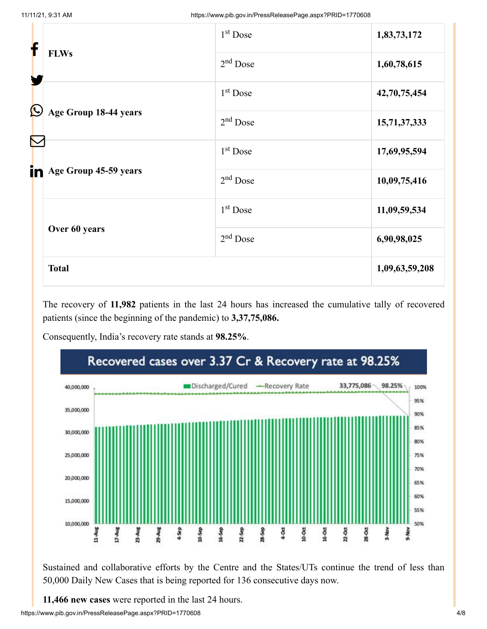| f                 |                                                | $1st$ Dose | 1,83,73,172    |
|-------------------|------------------------------------------------|------------|----------------|
|                   | <b>FLWs</b>                                    | $2nd$ Dose | 1,60,78,615    |
| $\bm{\mathbb{O}}$ | Age Group 18-44 years<br>Age Group 45-59 years | $1st$ Dose | 42,70,75,454   |
|                   |                                                | $2nd$ Dose | 15,71,37,333   |
|                   |                                                | $1st$ Dose | 17,69,95,594   |
| in                |                                                | $2nd$ Dose | 10,09,75,416   |
|                   | Over 60 years                                  | $1st$ Dose | 11,09,59,534   |
|                   |                                                | $2nd$ Dose | 6,90,98,025    |
|                   | <b>Total</b>                                   |            | 1,09,63,59,208 |

The recovery of **11,982** patients in the last 24 hours has increased the cumulative tally of recovered patients (since the beginning of the pandemic) to **3,37,75,086.**

Consequently, India's recovery rate stands at **98.25%**.



Sustained and collaborative efforts by the Centre and the States/UTs continue the trend of less than 50,000 Daily New Cases that is being reported for 136 consecutive days now.

**11,466 new cases** were reported in the last 24 hours.

https://www.pib.gov.in/PressReleasePage.aspx?PRID=1770608 4/8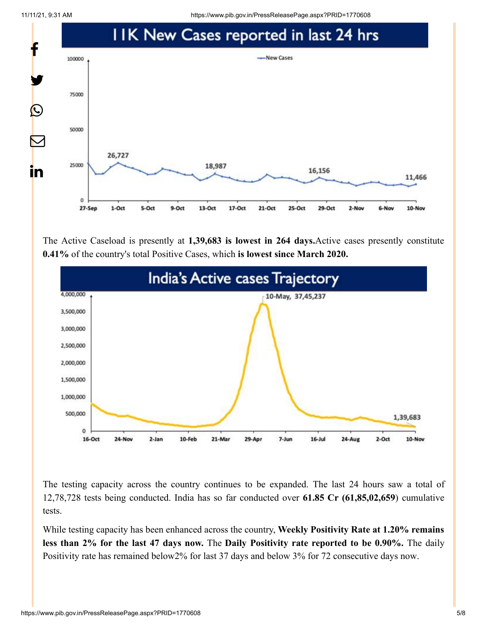11/11/21, 9:31 AM https://www.pib.gov.in/PressReleasePage.aspx?PRID=1770608



The Active Caseload is presently at **1,39,683 is lowest in 264 days.**Active cases presently constitute **0.41%** of the country's total Positive Cases, which **is lowest since March 2020.**



The testing capacity across the country continues to be expanded. The last 24 hours saw a total of 12,78,728 tests being conducted. India has so far conducted over **61.85 Cr (61,85,02,659**) cumulative tests.

While testing capacity has been enhanced across the country, **Weekly Positivity Rate at 1.20% remains less than 2% for the last 47 days now.** The **Daily Positivity rate reported to be 0.90%.** The daily Positivity rate has remained below2% for last 37 days and below 3% for 72 consecutive days now.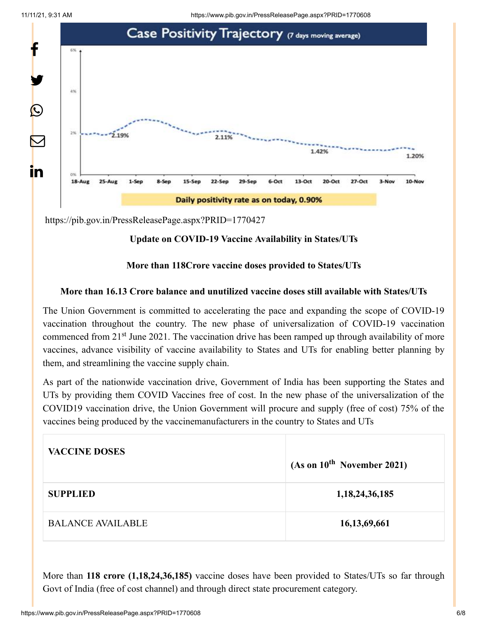

<https://pib.gov.in/PressReleasePage.aspx?PRID=1770427>

#### **Update on COVID-19 Vaccine Availability in States/UTs**

#### **More than 118Crore vaccine doses provided to States/UTs**

#### **More than 16.13 Crore balance and unutilized vaccine doses still available with States/UTs**

The Union Government is committed to accelerating the pace and expanding the scope of COVID-19 vaccination throughout the country. The new phase of universalization of COVID-19 vaccination commenced from 21<sup>st</sup> June 2021. The vaccination drive has been ramped up through availability of more vaccines, advance visibility of vaccine availability to States and UTs for enabling better planning by them, and streamlining the vaccine supply chain.

As part of the nationwide vaccination drive, Government of India has been supporting the States and UTs by providing them COVID Vaccines free of cost. In the new phase of the universalization of the COVID19 vaccination drive, the Union Government will procure and supply (free of cost) 75% of the vaccines being produced by the vaccinemanufacturers in the country to States and UTs

| <b>VACCINE DOSES</b>     | (As on 10 <sup>th</sup> November 2021) |
|--------------------------|----------------------------------------|
| <b>SUPPLIED</b>          | 1, 18, 24, 36, 185                     |
| <b>BALANCE AVAILABLE</b> | 16, 13, 69, 661                        |

More than **118 crore (1,18,24,36,185)** vaccine doses have been provided to States/UTs so far through Govt of India (free of cost channel) and through direct state procurement category.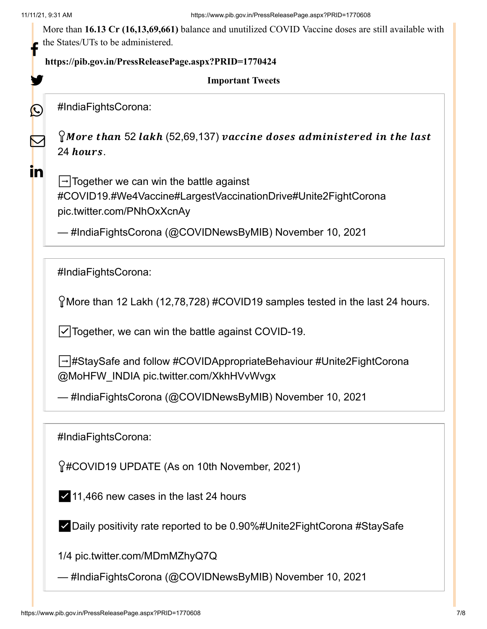y.

 $\bigcirc$ 

 $\mathbf \Xi$ 

in

More than **16.13 Cr (16,13,69,661)** balance and unutilized COVID Vaccine doses are still available with the States/UTs to be administered.

## **<https://pib.gov.in/PressReleasePage.aspx?PRID=1770424>** f

#### **Important Tweets**

[#IndiaFightsCorona](https://twitter.com/hashtag/IndiaFightsCorona?src=hash&ref_src=twsrc%5Etfw):

 $\Omega$ More than 52 lakh (52,69,137) vaccine doses administered in the last 24 hours.

 $\rightarrow$  Together we can win the battle against [#COVID19](https://twitter.com/hashtag/COVID19?src=hash&ref_src=twsrc%5Etfw)[.#We4Vaccine](https://twitter.com/hashtag/We4Vaccine?src=hash&ref_src=twsrc%5Etfw)[#LargestVaccinationDrive](https://twitter.com/hashtag/LargestVaccinationDrive?src=hash&ref_src=twsrc%5Etfw)[#Unite2FightCorona](https://twitter.com/hashtag/Unite2FightCorona?src=hash&ref_src=twsrc%5Etfw) [pic.twitter.com/PNhOxXcnAy](https://t.co/PNhOxXcnAy)

— #IndiaFightsCorona (@COVIDNewsByMIB) [November 10, 2021](https://twitter.com/COVIDNewsByMIB/status/1458299037921153026?ref_src=twsrc%5Etfw)

[#IndiaFightsCorona](https://twitter.com/hashtag/IndiaFightsCorona?src=hash&ref_src=twsrc%5Etfw):

More than 12 Lakh (12,78,728) [#COVID19](https://twitter.com/hashtag/COVID19?src=hash&ref_src=twsrc%5Etfw) samples tested in the last 24 hours.

☑️Together, we can win the battle against COVID-19.

➡️[#StaySafe](https://twitter.com/hashtag/StaySafe?src=hash&ref_src=twsrc%5Etfw) and follow [#COVIDAppropriateBehaviour](https://twitter.com/hashtag/COVIDAppropriateBehaviour?src=hash&ref_src=twsrc%5Etfw) [#Unite2FightCorona](https://twitter.com/hashtag/Unite2FightCorona?src=hash&ref_src=twsrc%5Etfw) [@MoHFW\\_INDIA](https://twitter.com/MoHFW_INDIA?ref_src=twsrc%5Etfw) [pic.twitter.com/XkhHVvWvgx](https://t.co/XkhHVvWvgx)

— #IndiaFightsCorona (@COVIDNewsByMIB) [November 10, 2021](https://twitter.com/COVIDNewsByMIB/status/1458379250906517508?ref_src=twsrc%5Etfw)

[#IndiaFightsCorona](https://twitter.com/hashtag/IndiaFightsCorona?src=hash&ref_src=twsrc%5Etfw):

[#COVID19](https://twitter.com/hashtag/COVID19?src=hash&ref_src=twsrc%5Etfw) UPDATE (As on 10th November, 2021)

✅11,466 new cases in the last 24 hours

✅Daily positivity rate reported to be 0.90%[#Unite2FightCorona](https://twitter.com/hashtag/Unite2FightCorona?src=hash&ref_src=twsrc%5Etfw) [#StaySafe](https://twitter.com/hashtag/StaySafe?src=hash&ref_src=twsrc%5Etfw)

1/4 [pic.twitter.com/MDmMZhyQ7Q](https://t.co/MDmMZhyQ7Q)

— #IndiaFightsCorona (@COVIDNewsByMIB) [November 10, 2021](https://twitter.com/COVIDNewsByMIB/status/1458307303229177861?ref_src=twsrc%5Etfw)